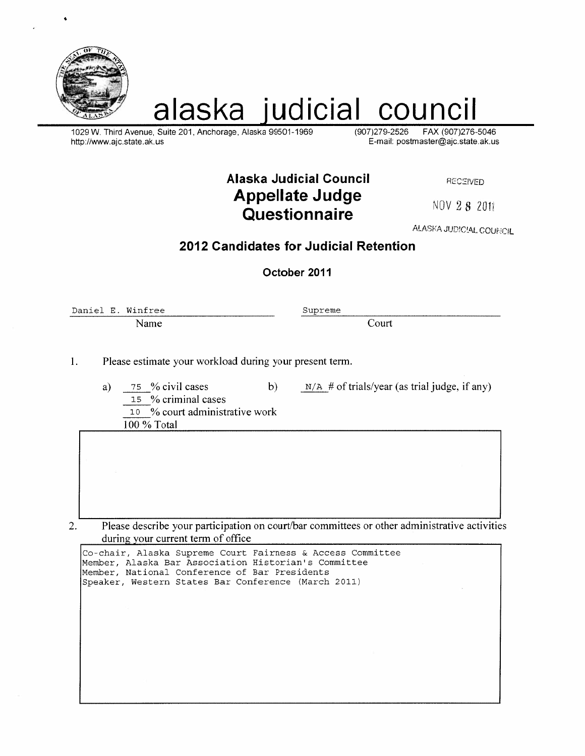

# alaska judicial council

1029 W. Third Avenue, Suite 201, Anchorage, Alaska 99501-1969 http://www.ajc.state.ak.us

(907) 279-2526 FAX (907) 276-5046 E-mail: postmaster@ajc.state.ak.us

**Alaska Judicial Council Appellate Judge** Questionnaire

**RECEIVED** 

NOV 28 2011

ALASKA JUDICIAL COUNCIL

## 2012 Candidates for Judicial Retention

October 2011

Daniel E. Winfree Name

Supreme

Court

Please estimate your workload during your present term.  $1.$ 

> 75 % civil cases  $a)$  $b)$ 15 % criminal cases 10 % court administrative work 100 % Total

 $N/A$  # of trials/year (as trial judge, if any)

Please describe your participation on court/bar committees or other administrative activities 2. during your current term of office

| Co-chair, Alaska Supreme Court Fairness & Access Committee<br>Member, Alaska Bar Association Historian's Committee<br>Member, National Conference of Bar Presidents<br>Speaker, Western States Bar Conference (March 2011) |  |
|----------------------------------------------------------------------------------------------------------------------------------------------------------------------------------------------------------------------------|--|
|                                                                                                                                                                                                                            |  |
|                                                                                                                                                                                                                            |  |
|                                                                                                                                                                                                                            |  |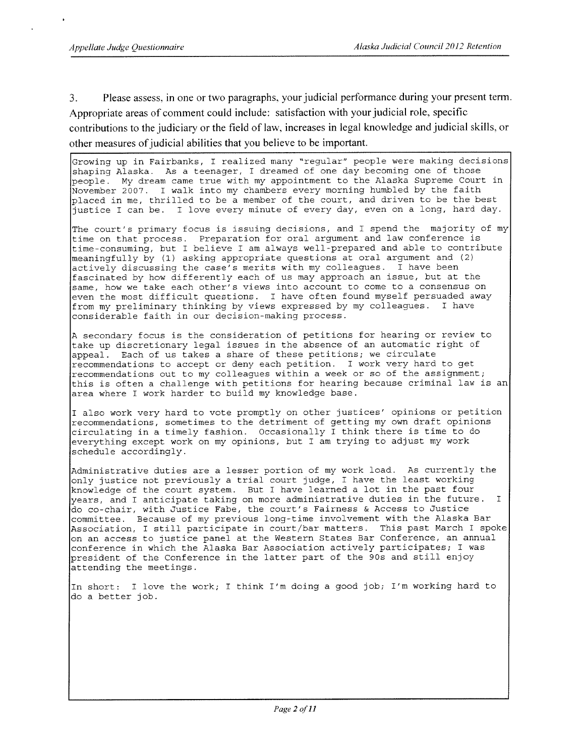Please assess, in one or two paragraphs, your judicial performance during your present term.  $3.$ Appropriate areas of comment could include: satisfaction with your judicial role, specific contributions to the judiciary or the field of law, increases in legal knowledge and judicial skills, or other measures of judicial abilities that you believe to be important.

Growing up in Fairbanks, I realized many "regular" people were making decisions shaping Alaska. As a teenager, I dreamed of one day becoming one of those people. My dream came true with my appointment to the Alaska Supreme Court in November 2007. I walk into my chambers every morning humbled by the faith placed in me, thrilled to be a member of the court, and driven to be the best I love every minute of every day, even on a long, hard day. justice I can be.

The court's primary focus is issuing decisions, and I spend the majority of my time on that process. Preparation for oral argument and law conference is time-consuming, but I believe I am always well-prepared and able to contribute meaningfully by (1) asking appropriate questions at oral argument and (2) actively discussing the case's merits with my colleagues. I have been fascinated by how differently each of us may approach an issue, but at the same, how we take each other's views into account to come to a consensus on even the most difficult questions. I have often found myself persuaded away from my preliminary thinking by views expressed by my colleagues. I have considerable faith in our decision-making process.

A secondary focus is the consideration of petitions for hearing or review to take up discretionary legal issues in the absence of an automatic right of appeal. Each of us takes a share of these petitions; we circulate recommendations to accept or deny each petition. I work very hard to get recommendations out to my colleagues within a week or so of the assignment; this is often a challenge with petitions for hearing because criminal law is an area where I work harder to build my knowledge base.

I also work very hard to vote promptly on other justices' opinions or petition recommendations, sometimes to the detriment of getting my own draft opinions circulating in a timely fashion. Occasionally I think there is time to do everything except work on my opinions, but I am trying to adjust my work schedule accordingly.

Administrative duties are a lesser portion of my work load. As currently the only justice not previously a trial court judge, I have the least working knowledge of the court system. But I have learned a lot in the past four years, and I anticipate taking on more administrative duties in the future.  $T$ do co-chair, with Justice Fabe, the court's Fairness & Access to Justice committee. Because of my previous long-time involvement with the Alaska Bar<br>Association, I still participate in court/bar matters. This past March I spoke on an access to justice panel at the Western States Bar Conference, an annual conference in which the Alaska Bar Association actively participates; I was president of the Conference in the latter part of the 90s and still enjoy attending the meetings.

In short: I love the work; I think I'm doing a good job; I'm working hard to do a better job.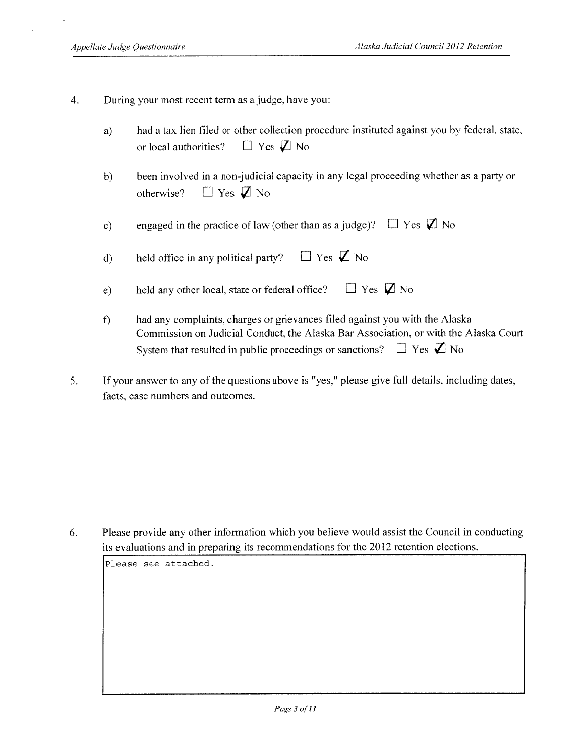- $\overline{4}$ . During your most recent term as a judge, have you:
	- had a tax lien filed or other collection procedure instituted against you by federal, state,  $a)$  $\Box$  Yes  $\Box$  No or local authorities?
	- $b)$ been involved in a non-judicial capacity in any legal proceeding whether as a party or  $\Box$  Yes  $\Box$  No otherwise?
	- engaged in the practice of law (other than as a judge)?  $\Box$  Yes  $\Box$  No  $c)$

 $\Box$  Yes  $\Box$  No held office in any political party?  $\mathbf{d}$ 

held any other local, state or federal office?  $\Box$  Yes  $\Box$  No  $e)$ 

- $\mathbf{f}$ had any complaints, charges or grievances filed against you with the Alaska Commission on Judicial Conduct, the Alaska Bar Association, or with the Alaska Court System that resulted in public proceedings or sanctions?  $\Box$  Yes  $\Box$  No
- $5<sub>1</sub>$ If your answer to any of the questions above is "yes," please give full details, including dates, facts, case numbers and outcomes.

Please provide any other information which you believe would assist the Council in conducting 6. its evaluations and in preparing its recommendations for the 2012 retention elections.

Please see attached.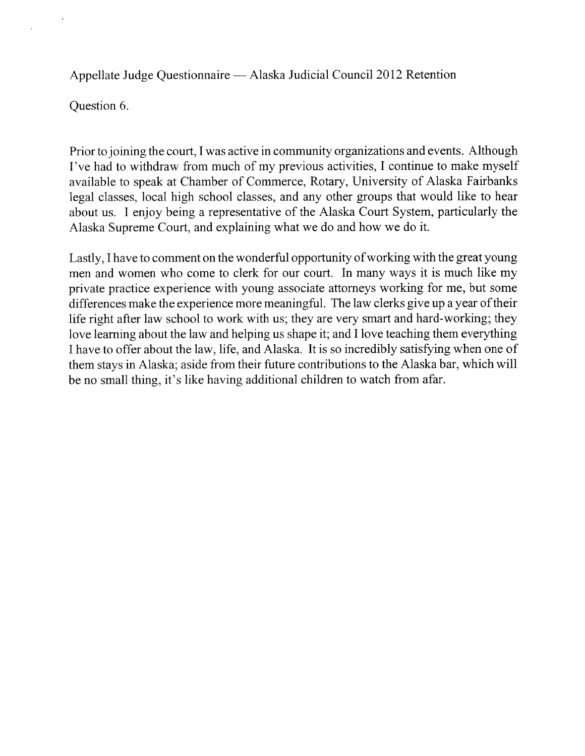Appellate Judge Questionnaire — Alaska Judicial Council 2012 Retention

Question 6.

Prior to joining the court, I was active in community organizations and events. Although I've had to withdraw from much of my previous activities, I continue to make myself available to speak at Chamber of Commerce, Rotary, University of Alaska Fairbanks legal classes, local high school classes, and any other groups that would like to hear about us. I enjoy being a representative of the Alaska Court System, particularly the Alaska Supreme Court, and explaining what we do and how we do it.

Lastly. I have to comment on the wonderful opportunity of working with the great young men and women who come to clerk for our court. In many ways it is much like my private practice experience with young associate attorneys working for me, but some differences make the experience more meaningful. The law clerks give up a year of their life right after law school to work with us; they are very smart and hard-working; they love learning about the law and helping us shape it; and I love teaching them everything I have to offer about the law, life, and Alaska. It is so incredibly satisfying when one of them stays in Alaska; aside from their future contributions to the Alaska bar, which will be no small thing, it's like having additional children to watch from afar.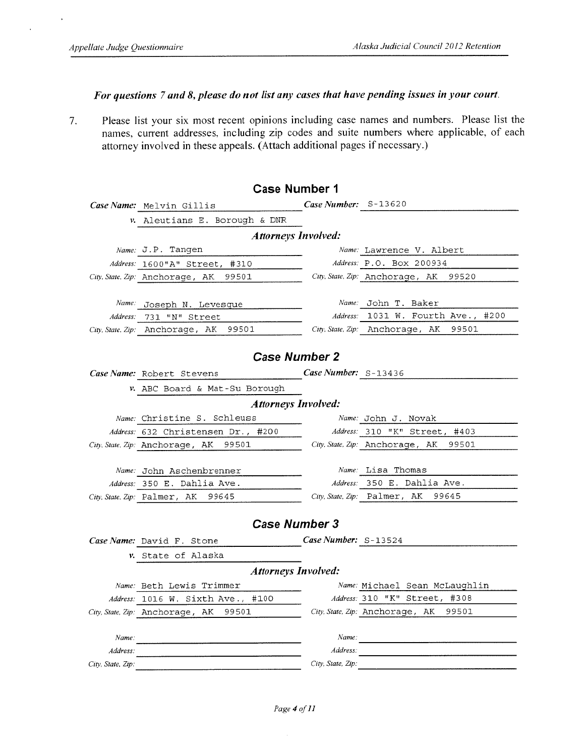$\cdot$ 

t,

#### For questions 7 and 8, please do not list any cases that have pending issues in your court.

Please list your six most recent opinions including case names and numbers. Please list the  $7.$ names, current addresses, including zip codes and suite numbers where applicable, of each attorney involved in these appeals. (Attach additional pages if necessary.)

| <b>Case Number 1</b>       |                                          |                             |                                          |  |  |  |  |  |  |  |
|----------------------------|------------------------------------------|-----------------------------|------------------------------------------|--|--|--|--|--|--|--|
|                            | Case Name: Melvin Gillis                 | <b>Case Number:</b> S-13620 |                                          |  |  |  |  |  |  |  |
|                            | v. Aleutians E. Borough & DNR            |                             |                                          |  |  |  |  |  |  |  |
| <b>Attorneys Involved:</b> |                                          |                             |                                          |  |  |  |  |  |  |  |
|                            | Name: J.P. Tangen                        |                             | Name: Lawrence V. Albert                 |  |  |  |  |  |  |  |
|                            | Address: 1600"A" Street, #310            |                             | Address: P.O. BOX 200934                 |  |  |  |  |  |  |  |
|                            | City. State, Zip: Anchorage, AK<br>99501 |                             | City, State, Zip: Anchorage, AK<br>99520 |  |  |  |  |  |  |  |
|                            |                                          |                             |                                          |  |  |  |  |  |  |  |
|                            | Name: Joseph N. Levesque                 | Name:                       | John T. Baker                            |  |  |  |  |  |  |  |
|                            | Address: 731 "N" Street                  |                             | Address: 1031 W. Fourth Ave., #200       |  |  |  |  |  |  |  |
|                            | 99501<br>City, State, Zip: Anchorage, AK |                             | City, State, Zip: Anchorage, AK<br>99501 |  |  |  |  |  |  |  |
|                            |                                          |                             |                                          |  |  |  |  |  |  |  |
|                            | <b>Case Number 2</b>                     |                             |                                          |  |  |  |  |  |  |  |
|                            | Case Name: Robert Stevens                | Case Number: S-13436        |                                          |  |  |  |  |  |  |  |
|                            | v. ABC Board & Mat-Su Borough            |                             |                                          |  |  |  |  |  |  |  |
|                            | <b>Attorneys Involved:</b>               |                             |                                          |  |  |  |  |  |  |  |
|                            | Name: Christine S. Schleuss              |                             | Name: John J. Novak                      |  |  |  |  |  |  |  |
|                            | Address: 632 Christensen Dr., #200       |                             | Address: 310 "K" Street, #403            |  |  |  |  |  |  |  |
|                            | City, State, Zip: Anchorage, AK<br>99501 |                             | City, State, Zip: Anchorage, AK<br>99501 |  |  |  |  |  |  |  |
|                            |                                          |                             |                                          |  |  |  |  |  |  |  |
|                            | Name: John Aschenbrenner                 |                             | Name: Lisa Thomas                        |  |  |  |  |  |  |  |
|                            | Address: 350 E. Dahlia Ave.              |                             | Address: 350 E. Dahlia Ave.              |  |  |  |  |  |  |  |
|                            | City, State, Zip: Palmer, AK<br>99645    |                             | City, State, Zip: Palmer, AK<br>99645    |  |  |  |  |  |  |  |
|                            |                                          |                             |                                          |  |  |  |  |  |  |  |
|                            | <b>Case Number 3</b>                     |                             |                                          |  |  |  |  |  |  |  |
|                            | Case Name: David F. Stone                | Case Number: $S-13524$      |                                          |  |  |  |  |  |  |  |
|                            | v. State of Alaska                       |                             |                                          |  |  |  |  |  |  |  |
|                            | <b>Attorneys Involved:</b>               |                             |                                          |  |  |  |  |  |  |  |
|                            | Name: Beth Lewis Trimmer                 |                             | Name: Michael Sean McLaughlin            |  |  |  |  |  |  |  |
|                            | Address: 1016 W. Sixth Ave.,<br>#100     |                             | Address: 310 "K" Street, #308            |  |  |  |  |  |  |  |
|                            | City, State, Zip: Anchorage, AK<br>99501 |                             | City, State, Zip: Anchorage, AK 99501    |  |  |  |  |  |  |  |
|                            |                                          |                             |                                          |  |  |  |  |  |  |  |
| Name:                      |                                          | Name:                       |                                          |  |  |  |  |  |  |  |
| Address:                   |                                          | Address:                    |                                          |  |  |  |  |  |  |  |
| City, State, Zip:          |                                          | City, State, Zip:           |                                          |  |  |  |  |  |  |  |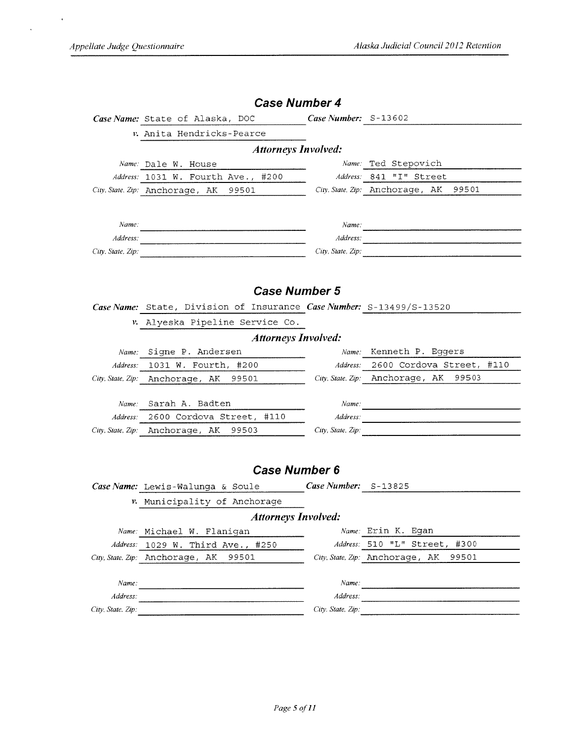$\bar{\mathcal{A}}$ 

 $\mathcal{L}$ 

|                            | <b>Case Number 4</b>                                                                                                  |                        |                                                                                                                                                                                                                                                     |  |  |  |  |  |  |  |
|----------------------------|-----------------------------------------------------------------------------------------------------------------------|------------------------|-----------------------------------------------------------------------------------------------------------------------------------------------------------------------------------------------------------------------------------------------------|--|--|--|--|--|--|--|
|                            | Case Name: State of Alaska, DOC                                                                                       | Case Number: $S-13602$ |                                                                                                                                                                                                                                                     |  |  |  |  |  |  |  |
|                            | v. Anita Hendricks-Pearce                                                                                             |                        |                                                                                                                                                                                                                                                     |  |  |  |  |  |  |  |
| <b>Attorneys Involved:</b> |                                                                                                                       |                        |                                                                                                                                                                                                                                                     |  |  |  |  |  |  |  |
|                            | Name: Dale W. House                                                                                                   |                        | Name: Ted Stepovich                                                                                                                                                                                                                                 |  |  |  |  |  |  |  |
|                            | Address: 1031 W. Fourth Ave., #200                                                                                    |                        | Address: 841 "I" Street                                                                                                                                                                                                                             |  |  |  |  |  |  |  |
|                            | City. State, Zip: Anchorage, AK<br>99501                                                                              |                        | City. State, Zip: Anchorage, AK<br>99501                                                                                                                                                                                                            |  |  |  |  |  |  |  |
|                            |                                                                                                                       |                        |                                                                                                                                                                                                                                                     |  |  |  |  |  |  |  |
|                            |                                                                                                                       |                        |                                                                                                                                                                                                                                                     |  |  |  |  |  |  |  |
| Name:                      |                                                                                                                       |                        | Name:                                                                                                                                                                                                                                               |  |  |  |  |  |  |  |
| Address:                   | <u> 2000 - Andrea Andrewski, amerikansk politik (d. 1982)</u>                                                         |                        | Address:                                                                                                                                                                                                                                            |  |  |  |  |  |  |  |
| City, State, Zip:          |                                                                                                                       |                        | City, State, Zip:                                                                                                                                                                                                                                   |  |  |  |  |  |  |  |
|                            |                                                                                                                       |                        |                                                                                                                                                                                                                                                     |  |  |  |  |  |  |  |
|                            | <b>Case Number 5</b>                                                                                                  |                        |                                                                                                                                                                                                                                                     |  |  |  |  |  |  |  |
|                            |                                                                                                                       |                        |                                                                                                                                                                                                                                                     |  |  |  |  |  |  |  |
|                            | Case Name: State, Division of Insurance Case Number: S-13499/S-13520                                                  |                        |                                                                                                                                                                                                                                                     |  |  |  |  |  |  |  |
|                            | v. Alyeska Pipeline Service Co.                                                                                       |                        |                                                                                                                                                                                                                                                     |  |  |  |  |  |  |  |
|                            | <b>Attorneys Involved:</b>                                                                                            |                        |                                                                                                                                                                                                                                                     |  |  |  |  |  |  |  |
|                            | Name: Signe P. Andersen                                                                                               | Name:                  | Kenneth P. Eqqers                                                                                                                                                                                                                                   |  |  |  |  |  |  |  |
|                            | Address: 1031 W. Fourth, #200                                                                                         |                        | Address: 2600 Cordova Street, #110                                                                                                                                                                                                                  |  |  |  |  |  |  |  |
|                            | City, State, Zip: Anchorage, AK 99501                                                                                 |                        | City, State, Zip: Anchorage, AK<br>99503                                                                                                                                                                                                            |  |  |  |  |  |  |  |
|                            | Name: Sarah A. Badten                                                                                                 |                        |                                                                                                                                                                                                                                                     |  |  |  |  |  |  |  |
| Address:                   | 2600 Cordova Street, #110                                                                                             | Name:<br>Address:      |                                                                                                                                                                                                                                                     |  |  |  |  |  |  |  |
|                            | City, State, Zip: Anchorage, AK<br>99503                                                                              |                        | and the contract of the components of the contract of the contract of the contract of the contract of the contract of the contract of the contract of the contract of the contract of the contract of the contract of the cont<br>City, State, Zip: |  |  |  |  |  |  |  |
|                            |                                                                                                                       |                        |                                                                                                                                                                                                                                                     |  |  |  |  |  |  |  |
|                            |                                                                                                                       |                        |                                                                                                                                                                                                                                                     |  |  |  |  |  |  |  |
|                            | <b>Case Number 6</b>                                                                                                  |                        |                                                                                                                                                                                                                                                     |  |  |  |  |  |  |  |
|                            |                                                                                                                       | Case Number: $S-13825$ |                                                                                                                                                                                                                                                     |  |  |  |  |  |  |  |
|                            | Case Name: Lewis-Walunga & Soule                                                                                      |                        |                                                                                                                                                                                                                                                     |  |  |  |  |  |  |  |
|                            | v. Municipality of Anchorage                                                                                          |                        |                                                                                                                                                                                                                                                     |  |  |  |  |  |  |  |
| <b>Attorneys Involved:</b> |                                                                                                                       |                        |                                                                                                                                                                                                                                                     |  |  |  |  |  |  |  |
|                            | Name: Michael W. Flanigan                                                                                             |                        | Name: Erin K. Egan                                                                                                                                                                                                                                  |  |  |  |  |  |  |  |
| Address:                   | 1029 W. Third Ave., #250                                                                                              |                        | Address: 510 "L" Street, #300                                                                                                                                                                                                                       |  |  |  |  |  |  |  |
|                            | City, State. Zip: Anchorage, AK<br>99501                                                                              |                        | City, State, Zip: Anchorage, AK<br>99501                                                                                                                                                                                                            |  |  |  |  |  |  |  |
| Name:                      |                                                                                                                       |                        |                                                                                                                                                                                                                                                     |  |  |  |  |  |  |  |
| Address:                   | <u> 1980 - Andrea Stadt British British British British British British British British British British British B</u> |                        | Name:                                                                                                                                                                                                                                               |  |  |  |  |  |  |  |
| City, State. Zip:          |                                                                                                                       |                        | $Address:$<br>City, State, Zip:                                                                                                                                                                                                                     |  |  |  |  |  |  |  |
|                            |                                                                                                                       |                        |                                                                                                                                                                                                                                                     |  |  |  |  |  |  |  |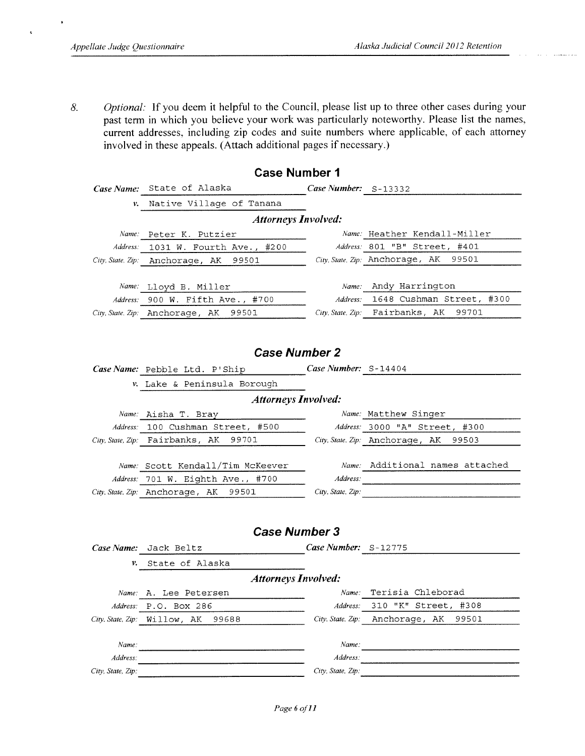$\epsilon$ 

Optional: If you deem it helpful to the Council, please list up to three other cases during your 8. past term in which you believe your work was particularly noteworthy. Please list the names, current addresses, including zip codes and suite numbers where applicable, of each attorney involved in these appeals. (Attach additional pages if necessary.)

| <b>Case Number 1</b>       |                                          |                      |                                                     |  |  |  |  |  |  |  |  |
|----------------------------|------------------------------------------|----------------------|-----------------------------------------------------|--|--|--|--|--|--|--|--|
|                            | Case Name: State of Alaska               | Case Number: S-13332 |                                                     |  |  |  |  |  |  |  |  |
| ν.                         | Native Village of Tanana                 |                      |                                                     |  |  |  |  |  |  |  |  |
| <b>Attorneys Involved:</b> |                                          |                      |                                                     |  |  |  |  |  |  |  |  |
| Name:                      | Peter K. Putzier                         |                      | Name: Heather Kendall-Miller                        |  |  |  |  |  |  |  |  |
| Address:                   | 1031 W. Fourth Ave., #200                |                      | Address: 801 "B" Street, #401                       |  |  |  |  |  |  |  |  |
|                            | City, State, Zip: Anchorage, AK 99501    |                      | City, State, Zip: Anchorage, AK 99501               |  |  |  |  |  |  |  |  |
|                            |                                          |                      |                                                     |  |  |  |  |  |  |  |  |
|                            | Name: Lloyd B. Miller                    |                      | Name: Andy Harrington                               |  |  |  |  |  |  |  |  |
|                            | Address: 900 W. Fifth Ave., #700         | Address:             | 1648 Cushman Street, #300                           |  |  |  |  |  |  |  |  |
|                            | City, State, Zip: Anchorage, AK<br>99501 |                      | City, State, Zip: Fairbanks, AK<br>99701            |  |  |  |  |  |  |  |  |
|                            |                                          |                      |                                                     |  |  |  |  |  |  |  |  |
|                            |                                          |                      |                                                     |  |  |  |  |  |  |  |  |
|                            | <b>Case Number 2</b>                     |                      |                                                     |  |  |  |  |  |  |  |  |
|                            | Case Name: Pebble Ltd. P'Ship            | Case Number: S-14404 |                                                     |  |  |  |  |  |  |  |  |
|                            | v. Lake & Peninsula Borough              |                      |                                                     |  |  |  |  |  |  |  |  |
| <b>Attorneys Involved:</b> |                                          |                      |                                                     |  |  |  |  |  |  |  |  |
|                            | Name: Aisha T. Bray                      |                      | Name: Matthew Singer                                |  |  |  |  |  |  |  |  |
|                            | Address: 100 Cushman Street, #500        |                      | Address: 3000 "A" Street, #300                      |  |  |  |  |  |  |  |  |
|                            | City, State, Zip: Fairbanks, AK<br>99701 |                      | City, State. Zip: Anchorage, AK<br>99503            |  |  |  |  |  |  |  |  |
|                            |                                          |                      |                                                     |  |  |  |  |  |  |  |  |
|                            | Name: Scott Kendall/Tim McKeever         |                      | Name: Additional names attached                     |  |  |  |  |  |  |  |  |
|                            | Address: 701 W. Eighth Ave., #700        | Address:             | <u> 1999 - Johann Stein, mars an deus an deus A</u> |  |  |  |  |  |  |  |  |
|                            | City, State, Zip: Anchorage, AK 99501    | City, State, Zip:    |                                                     |  |  |  |  |  |  |  |  |
|                            |                                          |                      |                                                     |  |  |  |  |  |  |  |  |
|                            |                                          |                      |                                                     |  |  |  |  |  |  |  |  |
|                            | <b>Case Number 3</b>                     |                      |                                                     |  |  |  |  |  |  |  |  |
|                            | Case Name: Jack Beltz                    | Case Number: S-12775 |                                                     |  |  |  |  |  |  |  |  |
| ν.                         | State of Alaska                          |                      |                                                     |  |  |  |  |  |  |  |  |
|                            | <b>Attorneys Involved:</b>               |                      |                                                     |  |  |  |  |  |  |  |  |
|                            | Name: A. Lee Petersen                    |                      | Name: Terisia Chleborad                             |  |  |  |  |  |  |  |  |
| Address:                   | P.O. Box 286                             | Address:             | "K" Street, #308<br>310                             |  |  |  |  |  |  |  |  |
| City, State, Zip:          | Willow, AK<br>99688                      | City, State, Zip:    | Anchorage, AK<br>99501                              |  |  |  |  |  |  |  |  |
|                            |                                          |                      |                                                     |  |  |  |  |  |  |  |  |
| Name:                      |                                          | Name:                |                                                     |  |  |  |  |  |  |  |  |
| Address:                   |                                          | Address:             |                                                     |  |  |  |  |  |  |  |  |
| City, State, Zip:          |                                          | City, State, Zip:    |                                                     |  |  |  |  |  |  |  |  |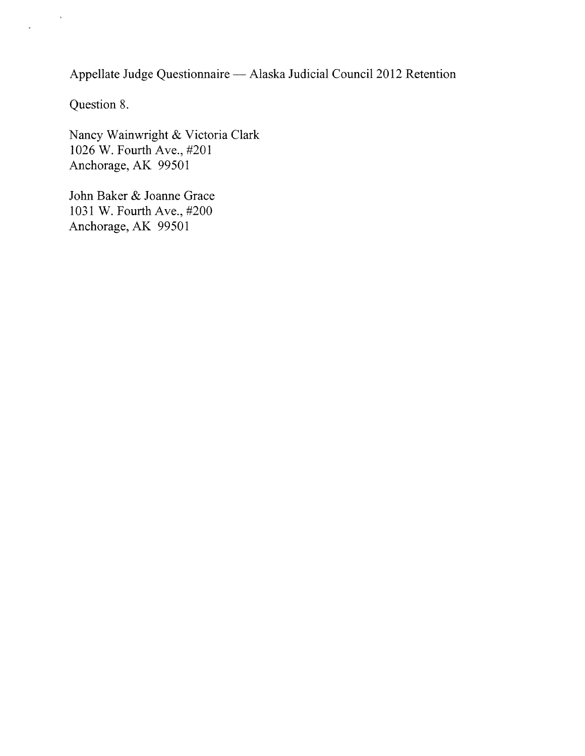Appellate Judge Questionnaire - Alaska Judicial Council 2012 Retention

Question 8.

 $\hat{\mathbf{r}}$ 

 $\ddot{\phantom{a}}$ 

Nancy Wainwright & Victoria Clark 1026 W. Fourth Ave., #201 Anchorage, AK 99501

John Baker & Joanne Grace 1031 W. Fourth Ave., #200 Anchorage, AK 99501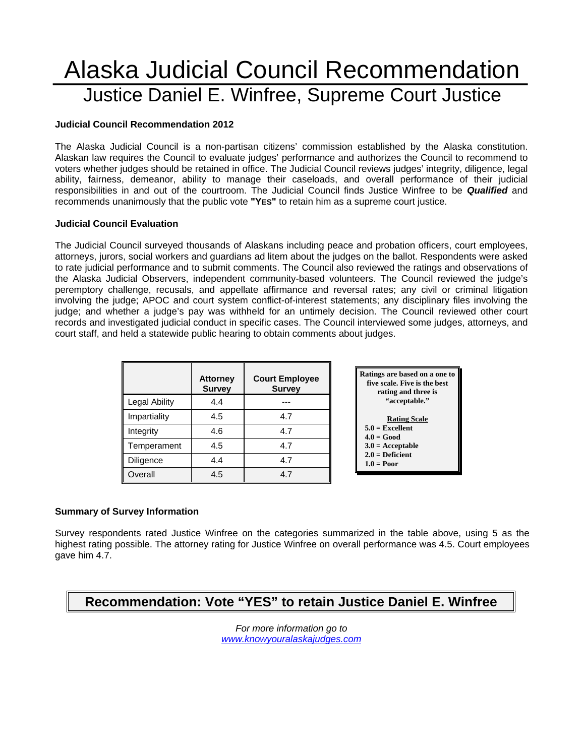# Alaska Judicial Council Recommendation Justice Daniel E. Winfree, Supreme Court Justice

#### **Judicial Council Recommendation 2012**

The Alaska Judicial Council is a non-partisan citizens' commission established by the Alaska constitution. Alaskan law requires the Council to evaluate judges' performance and authorizes the Council to recommend to voters whether judges should be retained in office. The Judicial Council reviews judges' integrity, diligence, legal ability, fairness, demeanor, ability to manage their caseloads, and overall performance of their judicial responsibilities in and out of the courtroom. The Judicial Council finds Justice Winfree to be *Qualified* and recommends unanimously that the public vote **"YES"** to retain him as a supreme court justice.

#### **Judicial Council Evaluation**

The Judicial Council surveyed thousands of Alaskans including peace and probation officers, court employees, attorneys, jurors, social workers and guardians ad litem about the judges on the ballot. Respondents were asked to rate judicial performance and to submit comments. The Council also reviewed the ratings and observations of the Alaska Judicial Observers, independent community-based volunteers. The Council reviewed the judge's peremptory challenge, recusals, and appellate affirmance and reversal rates; any civil or criminal litigation involving the judge; APOC and court system conflict-of-interest statements; any disciplinary files involving the judge; and whether a judge's pay was withheld for an untimely decision. The Council reviewed other court records and investigated judicial conduct in specific cases. The Council interviewed some judges, attorneys, and court staff, and held a statewide public hearing to obtain comments about judges.

|               | <b>Attorney</b><br><b>Survey</b> | <b>Court Employee</b><br><b>Survey</b> |
|---------------|----------------------------------|----------------------------------------|
| Legal Ability | 4.4                              |                                        |
| Impartiality  | 4.5                              | 4.7                                    |
| Integrity     | 4.6                              | 4.7                                    |
| Temperament   | 4.5                              | 4.7                                    |
| Diligence     | 4.4                              | 4.7                                    |
| Overall       | 4.5                              | 47                                     |



#### **Summary of Survey Information**

Survey respondents rated Justice Winfree on the categories summarized in the table above, using 5 as the highest rating possible. The attorney rating for Justice Winfree on overall performance was 4.5. Court employees gave him 4.7.

# **Recommendation: Vote "YES" to retain Justice Daniel E. Winfree**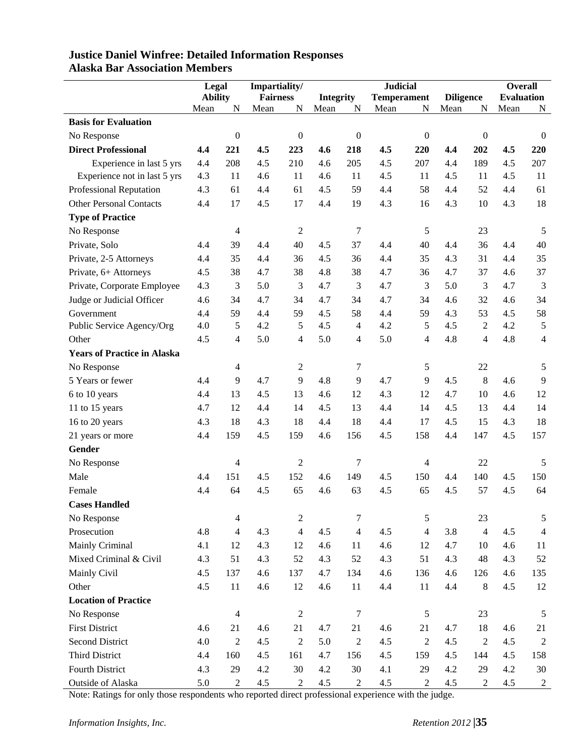|                                    | Legal          |                  | Impartiality/   |                         | <b>Judicial</b>  |                  |                    | <b>Overall</b>   |                  |                  |                   |                  |
|------------------------------------|----------------|------------------|-----------------|-------------------------|------------------|------------------|--------------------|------------------|------------------|------------------|-------------------|------------------|
|                                    | <b>Ability</b> |                  | <b>Fairness</b> |                         | <b>Integrity</b> |                  | <b>Temperament</b> |                  | <b>Diligence</b> |                  | <b>Evaluation</b> |                  |
|                                    | Mean           | N                | Mean            | N                       | Mean             | N                | Mean               | N                | Mean             | N                | Mean              | N                |
| <b>Basis for Evaluation</b>        |                |                  |                 |                         |                  |                  |                    |                  |                  |                  |                   |                  |
| No Response                        |                | $\boldsymbol{0}$ |                 | $\boldsymbol{0}$        |                  | $\boldsymbol{0}$ |                    | $\boldsymbol{0}$ |                  | $\boldsymbol{0}$ |                   | $\boldsymbol{0}$ |
| <b>Direct Professional</b>         | 4.4            | 221              | 4.5             | 223                     | 4.6              | 218              | 4.5                | 220              | 4.4              | 202              | 4.5               | 220              |
| Experience in last 5 yrs           | 4.4            | 208              | 4.5             | 210                     | 4.6              | 205              | 4.5                | 207              | 4.4              | 189              | 4.5               | 207              |
| Experience not in last 5 yrs       | 4.3            | 11               | 4.6             | 11                      | 4.6              | 11               | 4.5                | 11               | 4.5              | 11               | 4.5               | 11               |
| Professional Reputation            | 4.3            | 61               | 4.4             | 61                      | 4.5              | 59               | 4.4                | 58               | 4.4              | 52               | 4.4               | 61               |
| <b>Other Personal Contacts</b>     | 4.4            | 17               | 4.5             | 17                      | 4.4              | 19               | 4.3                | 16               | 4.3              | 10               | 4.3               | 18               |
| <b>Type of Practice</b>            |                |                  |                 |                         |                  |                  |                    |                  |                  |                  |                   |                  |
| No Response                        |                | $\overline{4}$   |                 | $\overline{c}$          |                  | $\tau$           |                    | 5                |                  | 23               |                   | 5                |
| Private, Solo                      | 4.4            | 39               | 4.4             | 40                      | 4.5              | 37               | 4.4                | 40               | 4.4              | 36               | 4.4               | 40               |
| Private, 2-5 Attorneys             | 4.4            | 35               | 4.4             | 36                      | 4.5              | 36               | 4.4                | 35               | 4.3              | 31               | 4.4               | 35               |
| Private, 6+ Attorneys              | 4.5            | 38               | 4.7             | 38                      | 4.8              | 38               | 4.7                | 36               | 4.7              | 37               | 4.6               | 37               |
| Private, Corporate Employee        | 4.3            | 3                | 5.0             | 3                       | 4.7              | 3                | 4.7                | 3                | 5.0              | 3                | 4.7               | 3                |
| Judge or Judicial Officer          | 4.6            | 34               | 4.7             | 34                      | 4.7              | 34               | 4.7                | 34               | 4.6              | 32               | 4.6               | 34               |
| Government                         | 4.4            | 59               | 4.4             | 59                      | 4.5              | 58               | 4.4                | 59               | 4.3              | 53               | 4.5               | 58               |
| Public Service Agency/Org          | 4.0            | 5                | 4.2             | 5                       | 4.5              | $\overline{4}$   | 4.2                | 5                | 4.5              | $\mathbf{2}$     | 4.2               | 5                |
| Other                              | 4.5            | $\overline{4}$   | 5.0             | 4                       | 5.0              | $\overline{4}$   | 5.0                | $\overline{4}$   | 4.8              | 4                | 4.8               | $\overline{4}$   |
| <b>Years of Practice in Alaska</b> |                |                  |                 |                         |                  |                  |                    |                  |                  |                  |                   |                  |
| No Response                        |                | $\overline{4}$   |                 | 2                       |                  | 7                |                    | 5                |                  | 22               |                   | 5                |
| 5 Years or fewer                   | 4.4            | 9                | 4.7             | 9                       | 4.8              | 9                | 4.7                | 9                | 4.5              | $\,8\,$          | 4.6               | 9                |
| 6 to 10 years                      | 4.4            | 13               | 4.5             | 13                      | 4.6              | 12               | 4.3                | 12               | 4.7              | 10               | 4.6               | 12               |
| 11 to 15 years                     | 4.7            | 12               | 4.4             | 14                      | 4.5              | 13               | 4.4                | 14               | 4.5              | 13               | 4.4               | 14               |
| 16 to 20 years                     | 4.3            | 18               | 4.3             | 18                      | 4.4              | 18               | 4.4                | 17               | 4.5              | 15               | 4.3               | 18               |
| 21 years or more                   | 4.4            | 159              | 4.5             | 159                     | 4.6              | 156              | 4.5                | 158              | 4.4              | 147              | 4.5               | 157              |
| Gender                             |                |                  |                 |                         |                  |                  |                    |                  |                  |                  |                   |                  |
| No Response                        |                | $\overline{4}$   |                 | $\mathfrak{2}$          |                  | 7                |                    | $\overline{4}$   |                  | 22               |                   | 5                |
| Male                               | 4.4            | 151              | 4.5             | 152                     | 4.6              | 149              | 4.5                | 150              | 4.4              | 140              | 4.5               | 150              |
| Female                             | 4.4            | 64               | 4.5             | 65                      | 4.6              | 63               | 4.5                | 65               | 4.5              | 57               | 4.5               | 64               |
| <b>Cases Handled</b>               |                |                  |                 |                         |                  |                  |                    |                  |                  |                  |                   |                  |
| No Response                        |                | $\overline{4}$   |                 | $\sqrt{2}$              |                  | $\boldsymbol{7}$ |                    | 5                |                  | 23               |                   | 5                |
| Prosecution                        | 4.8            | $\overline{4}$   | 4.3             | $\overline{\mathbf{4}}$ | 4.5              | $\overline{4}$   | 4.5                | $\overline{4}$   | 3.8              | $\overline{4}$   | 4.5               | $\overline{4}$   |
| Mainly Criminal                    | 4.1            | 12               | 4.3             | 12                      | 4.6              | 11               | 4.6                | 12               | 4.7              | 10               | 4.6               | 11               |
| Mixed Criminal & Civil             | 4.3            | 51               | 4.3             | 52                      | 4.3              | 52               | 4.3                | 51               | 4.3              | 48               | 4.3               | 52               |
| Mainly Civil                       | 4.5            | 137              | 4.6             | 137                     | 4.7              | 134              | 4.6                | 136              | 4.6              | 126              | 4.6               | 135              |
| Other                              | 4.5            | 11               | 4.6             | 12                      | 4.6              | 11               | 4.4                | $11\,$           | 4.4              | $8\,$            | 4.5               | 12               |
| <b>Location of Practice</b>        |                |                  |                 |                         |                  |                  |                    |                  |                  |                  |                   |                  |
| No Response                        |                | $\overline{4}$   |                 | $\sqrt{2}$              |                  | $\tau$           |                    | $\mathfrak{S}$   |                  | 23               |                   | $\sqrt{5}$       |
| <b>First District</b>              | 4.6            | 21               | 4.6             | 21                      | 4.7              | 21               | 4.6                | 21               | 4.7              | 18               | 4.6               | 21               |
| <b>Second District</b>             | 4.0            | $\overline{2}$   | 4.5             | $\sqrt{2}$              | 5.0              | $\overline{2}$   | 4.5                | $\overline{2}$   | 4.5              | $\overline{2}$   | 4.5               | $\overline{2}$   |
| Third District                     | 4.4            | 160              | 4.5             | 161                     | 4.7              | 156              | 4.5                | 159              | 4.5              | 144              | 4.5               | 158              |
| Fourth District                    | 4.3            | 29               | 4.2             | 30                      | 4.2              | 30               | 4.1                | 29               | $4.2\,$          | 29               | 4.2               | 30               |
|                                    |                |                  |                 |                         |                  |                  |                    |                  |                  |                  |                   |                  |
| Outside of Alaska                  | 5.0            | $\overline{2}$   | 4.5             | $\boldsymbol{2}$        | 4.5              | $\overline{2}$   | 4.5                | $\sqrt{2}$       | 4.5              | $\mathbf{2}$     | $4.5\,$           | $\boldsymbol{2}$ |

### **Justice Daniel Winfree: Detailed Information Responses Alaska Bar Association Members**

Note: Ratings for only those respondents who reported direct professional experience with the judge.